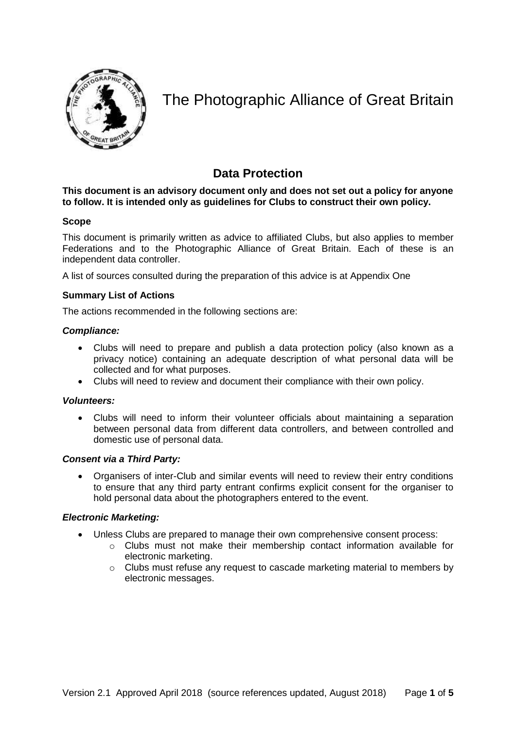

# The Photographic Alliance of Great Britain

# **Data Protection**

# **This document is an advisory document only and does not set out a policy for anyone to follow. It is intended only as guidelines for Clubs to construct their own policy.**

# **Scope**

This document is primarily written as advice to affiliated Clubs, but also applies to member Federations and to the Photographic Alliance of Great Britain. Each of these is an independent data controller.

A list of sources consulted during the preparation of this advice is at Appendix One

# **Summary List of Actions**

The actions recommended in the following sections are:

# *Compliance:*

- Clubs will need to prepare and publish a data protection policy (also known as a privacy notice) containing an adequate description of what personal data will be collected and for what purposes.
- Clubs will need to review and document their compliance with their own policy.

# *Volunteers:*

 Clubs will need to inform their volunteer officials about maintaining a separation between personal data from different data controllers, and between controlled and domestic use of personal data.

# *Consent via a Third Party:*

 Organisers of inter-Club and similar events will need to review their entry conditions to ensure that any third party entrant confirms explicit consent for the organiser to hold personal data about the photographers entered to the event.

# *Electronic Marketing:*

- Unless Clubs are prepared to manage their own comprehensive consent process:
	- o Clubs must not make their membership contact information available for electronic marketing.
	- o Clubs must refuse any request to cascade marketing material to members by electronic messages.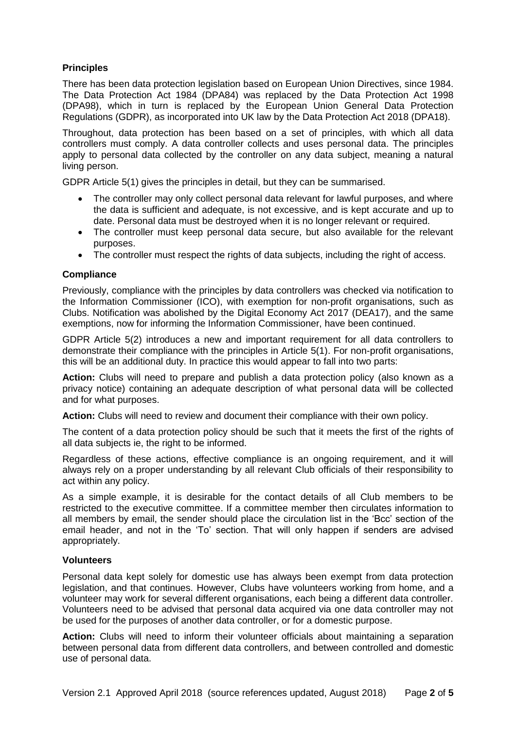# **Principles**

There has been data protection legislation based on European Union Directives, since 1984. The Data Protection Act 1984 (DPA84) was replaced by the Data Protection Act 1998 (DPA98), which in turn is replaced by the European Union General Data Protection Regulations (GDPR), as incorporated into UK law by the Data Protection Act 2018 (DPA18).

Throughout, data protection has been based on a set of principles, with which all data controllers must comply. A data controller collects and uses personal data. The principles apply to personal data collected by the controller on any data subject, meaning a natural living person.

GDPR Article 5(1) gives the principles in detail, but they can be summarised.

- The controller may only collect personal data relevant for lawful purposes, and where the data is sufficient and adequate, is not excessive, and is kept accurate and up to date. Personal data must be destroyed when it is no longer relevant or required.
- The controller must keep personal data secure, but also available for the relevant purposes.
- The controller must respect the rights of data subjects, including the right of access.

#### **Compliance**

Previously, compliance with the principles by data controllers was checked via notification to the Information Commissioner (ICO), with exemption for non-profit organisations, such as Clubs. Notification was abolished by the Digital Economy Act 2017 (DEA17), and the same exemptions, now for informing the Information Commissioner, have been continued.

GDPR Article 5(2) introduces a new and important requirement for all data controllers to demonstrate their compliance with the principles in Article 5(1). For non-profit organisations, this will be an additional duty. In practice this would appear to fall into two parts:

**Action:** Clubs will need to prepare and publish a data protection policy (also known as a privacy notice) containing an adequate description of what personal data will be collected and for what purposes.

**Action:** Clubs will need to review and document their compliance with their own policy.

The content of a data protection policy should be such that it meets the first of the rights of all data subjects ie, the right to be informed.

Regardless of these actions, effective compliance is an ongoing requirement, and it will always rely on a proper understanding by all relevant Club officials of their responsibility to act within any policy.

As a simple example, it is desirable for the contact details of all Club members to be restricted to the executive committee. If a committee member then circulates information to all members by email, the sender should place the circulation list in the 'Bcc' section of the email header, and not in the 'To' section. That will only happen if senders are advised appropriately.

#### **Volunteers**

Personal data kept solely for domestic use has always been exempt from data protection legislation, and that continues. However, Clubs have volunteers working from home, and a volunteer may work for several different organisations, each being a different data controller. Volunteers need to be advised that personal data acquired via one data controller may not be used for the purposes of another data controller, or for a domestic purpose.

**Action:** Clubs will need to inform their volunteer officials about maintaining a separation between personal data from different data controllers, and between controlled and domestic use of personal data.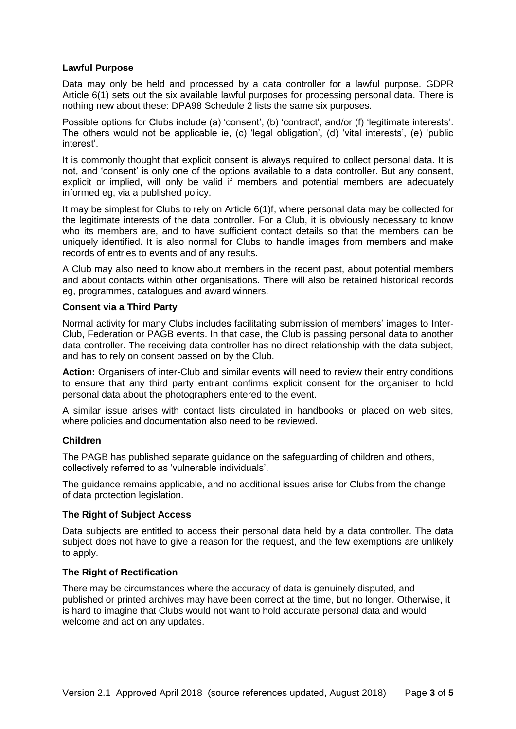#### **Lawful Purpose**

Data may only be held and processed by a data controller for a lawful purpose. GDPR Article 6(1) sets out the six available lawful purposes for processing personal data. There is nothing new about these: DPA98 Schedule 2 lists the same six purposes.

Possible options for Clubs include (a) 'consent', (b) 'contract', and/or (f) 'legitimate interests'. The others would not be applicable ie, (c) 'legal obligation', (d) 'vital interests', (e) 'public interest'.

It is commonly thought that explicit consent is always required to collect personal data. It is not, and 'consent' is only one of the options available to a data controller. But any consent, explicit or implied, will only be valid if members and potential members are adequately informed eg, via a published policy.

It may be simplest for Clubs to rely on Article 6(1)f, where personal data may be collected for the legitimate interests of the data controller. For a Club, it is obviously necessary to know who its members are, and to have sufficient contact details so that the members can be uniquely identified. It is also normal for Clubs to handle images from members and make records of entries to events and of any results.

A Club may also need to know about members in the recent past, about potential members and about contacts within other organisations. There will also be retained historical records eg, programmes, catalogues and award winners.

#### **Consent via a Third Party**

Normal activity for many Clubs includes facilitating submission of members' images to Inter-Club, Federation or PAGB events. In that case, the Club is passing personal data to another data controller. The receiving data controller has no direct relationship with the data subject, and has to rely on consent passed on by the Club.

**Action:** Organisers of inter-Club and similar events will need to review their entry conditions to ensure that any third party entrant confirms explicit consent for the organiser to hold personal data about the photographers entered to the event.

A similar issue arises with contact lists circulated in handbooks or placed on web sites, where policies and documentation also need to be reviewed.

#### **Children**

The PAGB has published separate guidance on the safeguarding of children and others, collectively referred to as 'vulnerable individuals'.

The guidance remains applicable, and no additional issues arise for Clubs from the change of data protection legislation.

#### **The Right of Subject Access**

Data subjects are entitled to access their personal data held by a data controller. The data subject does not have to give a reason for the request, and the few exemptions are unlikely to apply.

#### **The Right of Rectification**

There may be circumstances where the accuracy of data is genuinely disputed, and published or printed archives may have been correct at the time, but no longer. Otherwise, it is hard to imagine that Clubs would not want to hold accurate personal data and would welcome and act on any updates.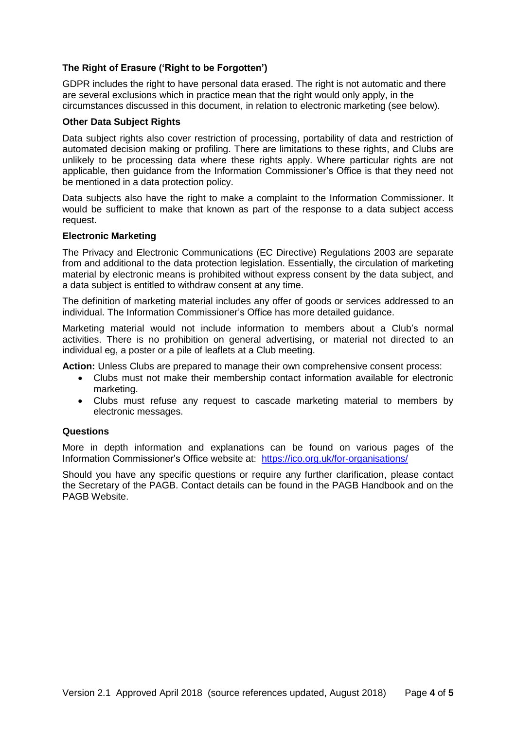# **The Right of Erasure ('Right to be Forgotten')**

GDPR includes the right to have personal data erased. The right is not automatic and there are several exclusions which in practice mean that the right would only apply, in the circumstances discussed in this document, in relation to electronic marketing (see below).

#### **Other Data Subject Rights**

Data subject rights also cover restriction of processing, portability of data and restriction of automated decision making or profiling. There are limitations to these rights, and Clubs are unlikely to be processing data where these rights apply. Where particular rights are not applicable, then guidance from the Information Commissioner's Office is that they need not be mentioned in a data protection policy.

Data subjects also have the right to make a complaint to the Information Commissioner. It would be sufficient to make that known as part of the response to a data subject access request.

#### **Electronic Marketing**

The Privacy and Electronic Communications (EC Directive) Regulations 2003 are separate from and additional to the data protection legislation. Essentially, the circulation of marketing material by electronic means is prohibited without express consent by the data subject, and a data subject is entitled to withdraw consent at any time.

The definition of marketing material includes any offer of goods or services addressed to an individual. The Information Commissioner's Office has more detailed guidance.

Marketing material would not include information to members about a Club's normal activities. There is no prohibition on general advertising, or material not directed to an individual eg, a poster or a pile of leaflets at a Club meeting.

**Action:** Unless Clubs are prepared to manage their own comprehensive consent process:

- Clubs must not make their membership contact information available for electronic marketing.
- Clubs must refuse any request to cascade marketing material to members by electronic messages.

# **Questions**

More in depth information and explanations can be found on various pages of the Information Commissioner's Office website at: <https://ico.org.uk/for-organisations/>

Should you have any specific questions or require any further clarification, please contact the Secretary of the PAGB. Contact details can be found in the PAGB Handbook and on the PAGB Website.